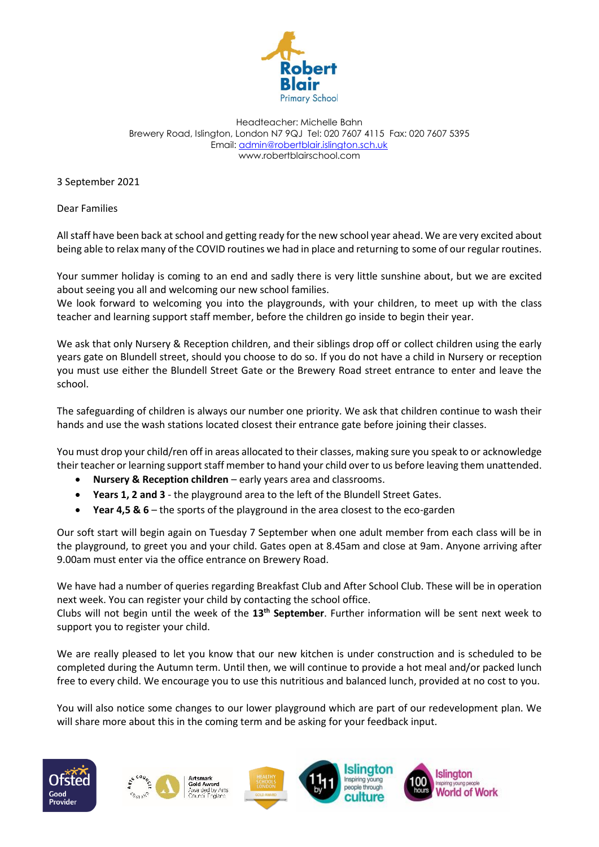

Headteacher: Michelle Bahn Brewery Road, Islington, London N7 9QJ Tel: 020 7607 4115 Fax: 020 7607 5395 Email[: admin@robertblair.islington.sch.uk](mailto:admin@robertblair.islington.sch.uk) www.robertblairschool.com

3 September 2021

Dear Families

All staff have been back at school and getting ready for the new school year ahead. We are very excited about being able to relax many of the COVID routines we had in place and returning to some of our regular routines.

Your summer holiday is coming to an end and sadly there is very little sunshine about, but we are excited about seeing you all and welcoming our new school families.

We look forward to welcoming you into the playgrounds, with your children, to meet up with the class teacher and learning support staff member, before the children go inside to begin their year.

We ask that only Nursery & Reception children, and their siblings drop off or collect children using the early years gate on Blundell street, should you choose to do so. If you do not have a child in Nursery or reception you must use either the Blundell Street Gate or the Brewery Road street entrance to enter and leave the school.

The safeguarding of children is always our number one priority. We ask that children continue to wash their hands and use the wash stations located closest their entrance gate before joining their classes.

You must drop your child/ren off in areas allocated to their classes, making sure you speak to or acknowledge their teacher or learning support staff member to hand your child over to us before leaving them unattended.

- **Nursery & Reception children** early years area and classrooms.
- **Years 1, 2 and 3** the playground area to the left of the Blundell Street Gates.
- **Year 4,5 & 6** the sports of the playground in the area closest to the eco-garden

Our soft start will begin again on Tuesday 7 September when one adult member from each class will be in the playground, to greet you and your child. Gates open at 8.45am and close at 9am. Anyone arriving after 9.00am must enter via the office entrance on Brewery Road.

We have had a number of queries regarding Breakfast Club and After School Club. These will be in operation next week. You can register your child by contacting the school office.

Clubs will not begin until the week of the **13th September**. Further information will be sent next week to support you to register your child.

We are really pleased to let you know that our new kitchen is under construction and is scheduled to be completed during the Autumn term. Until then, we will continue to provide a hot meal and/or packed lunch free to every child. We encourage you to use this nutritious and balanced lunch, provided at no cost to you.

You will also notice some changes to our lower playground which are part of our redevelopment plan. We will share more about this in the coming term and be asking for your feedback input.